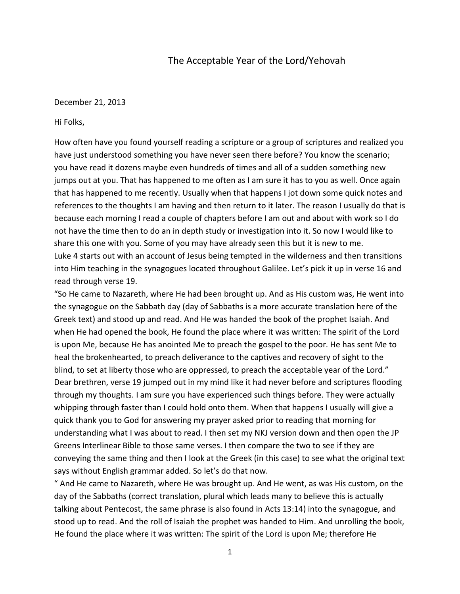## The Acceptable Year of the Lord/Yehovah

## December 21, 2013

## Hi Folks,

How often have you found yourself reading a scripture or a group of scriptures and realized you have just understood something you have never seen there before? You know the scenario; you have read it dozens maybe even hundreds of times and all of a sudden something new jumps out at you. That has happened to me often as I am sure it has to you as well. Once again that has happened to me recently. Usually when that happens I jot down some quick notes and references to the thoughts I am having and then return to it later. The reason I usually do that is because each morning I read a couple of chapters before I am out and about with work so I do not have the time then to do an in depth study or investigation into it. So now I would like to share this one with you. Some of you may have already seen this but it is new to me. Luke 4 starts out with an account of Jesus being tempted in the wilderness and then transitions into Him teaching in the synagogues located throughout Galilee. Let's pick it up in verse 16 and read through verse 19.

"So He came to Nazareth, where He had been brought up. And as His custom was, He went into the synagogue on the Sabbath day (day of Sabbaths is a more accurate translation here of the Greek text) and stood up and read. And He was handed the book of the prophet Isaiah. And when He had opened the book, He found the place where it was written: The spirit of the Lord is upon Me, because He has anointed Me to preach the gospel to the poor. He has sent Me to heal the brokenhearted, to preach deliverance to the captives and recovery of sight to the blind, to set at liberty those who are oppressed, to preach the acceptable year of the Lord." Dear brethren, verse 19 jumped out in my mind like it had never before and scriptures flooding through my thoughts. I am sure you have experienced such things before. They were actually whipping through faster than I could hold onto them. When that happens I usually will give a quick thank you to God for answering my prayer asked prior to reading that morning for understanding what I was about to read. I then set my NKJ version down and then open the JP Greens Interlinear Bible to those same verses. I then compare the two to see if they are conveying the same thing and then I look at the Greek (in this case) to see what the original text says without English grammar added. So let's do that now.

" And He came to Nazareth, where He was brought up. And He went, as was His custom, on the day of the Sabbaths (correct translation, plural which leads many to believe this is actually talking about Pentecost, the same phrase is also found in Acts 13:14) into the synagogue, and stood up to read. And the roll of Isaiah the prophet was handed to Him. And unrolling the book, He found the place where it was written: The spirit of the Lord is upon Me; therefore He

1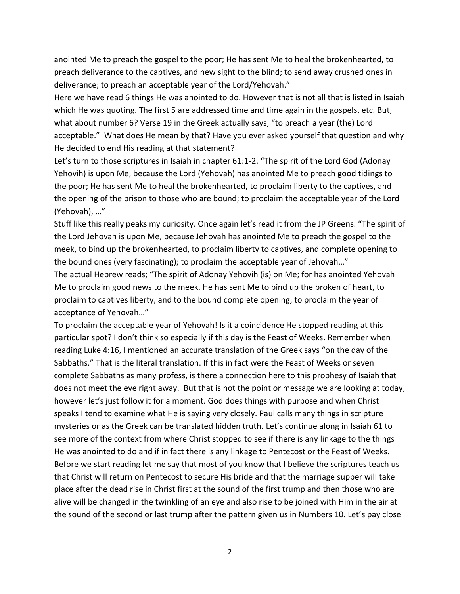anointed Me to preach the gospel to the poor; He has sent Me to heal the brokenhearted, to preach deliverance to the captives, and new sight to the blind; to send away crushed ones in deliverance; to preach an acceptable year of the Lord/Yehovah."

Here we have read 6 things He was anointed to do. However that is not all that is listed in Isaiah which He was quoting. The first 5 are addressed time and time again in the gospels, etc. But, what about number 6? Verse 19 in the Greek actually says; "to preach a year (the) Lord acceptable." What does He mean by that? Have you ever asked yourself that question and why He decided to end His reading at that statement?

Let's turn to those scriptures in Isaiah in chapter 61:1-2. "The spirit of the Lord God (Adonay Yehovih) is upon Me, because the Lord (Yehovah) has anointed Me to preach good tidings to the poor; He has sent Me to heal the brokenhearted, to proclaim liberty to the captives, and the opening of the prison to those who are bound; to proclaim the acceptable year of the Lord (Yehovah), …"

Stuff like this really peaks my curiosity. Once again let's read it from the JP Greens. "The spirit of the Lord Jehovah is upon Me, because Jehovah has anointed Me to preach the gospel to the meek, to bind up the brokenhearted, to proclaim liberty to captives, and complete opening to the bound ones (very fascinating); to proclaim the acceptable year of Jehovah…"

The actual Hebrew reads; "The spirit of Adonay Yehovih (is) on Me; for has anointed Yehovah Me to proclaim good news to the meek. He has sent Me to bind up the broken of heart, to proclaim to captives liberty, and to the bound complete opening; to proclaim the year of acceptance of Yehovah…"

To proclaim the acceptable year of Yehovah! Is it a coincidence He stopped reading at this particular spot? I don't think so especially if this day is the Feast of Weeks. Remember when reading Luke 4:16, I mentioned an accurate translation of the Greek says "on the day of the Sabbaths." That is the literal translation. If this in fact were the Feast of Weeks or seven complete Sabbaths as many profess, is there a connection here to this prophesy of Isaiah that does not meet the eye right away. But that is not the point or message we are looking at today, however let's just follow it for a moment. God does things with purpose and when Christ speaks I tend to examine what He is saying very closely. Paul calls many things in scripture mysteries or as the Greek can be translated hidden truth. Let's continue along in Isaiah 61 to see more of the context from where Christ stopped to see if there is any linkage to the things He was anointed to do and if in fact there is any linkage to Pentecost or the Feast of Weeks. Before we start reading let me say that most of you know that I believe the scriptures teach us that Christ will return on Pentecost to secure His bride and that the marriage supper will take place after the dead rise in Christ first at the sound of the first trump and then those who are alive will be changed in the twinkling of an eye and also rise to be joined with Him in the air at the sound of the second or last trump after the pattern given us in Numbers 10. Let's pay close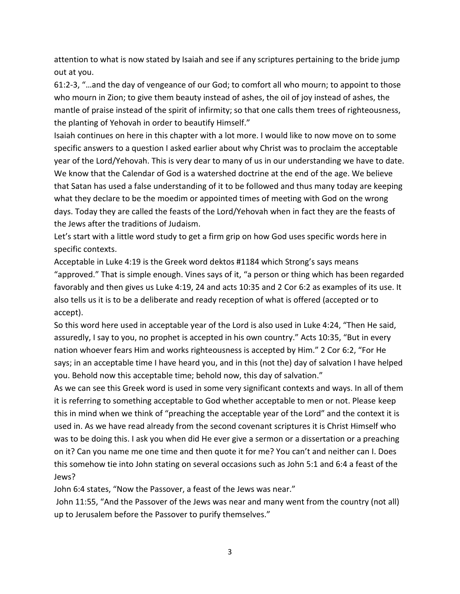attention to what is now stated by Isaiah and see if any scriptures pertaining to the bride jump out at you.

61:2-3, "…and the day of vengeance of our God; to comfort all who mourn; to appoint to those who mourn in Zion; to give them beauty instead of ashes, the oil of joy instead of ashes, the mantle of praise instead of the spirit of infirmity; so that one calls them trees of righteousness, the planting of Yehovah in order to beautify Himself."

Isaiah continues on here in this chapter with a lot more. I would like to now move on to some specific answers to a question I asked earlier about why Christ was to proclaim the acceptable year of the Lord/Yehovah. This is very dear to many of us in our understanding we have to date. We know that the Calendar of God is a watershed doctrine at the end of the age. We believe that Satan has used a false understanding of it to be followed and thus many today are keeping what they declare to be the moedim or appointed times of meeting with God on the wrong days. Today they are called the feasts of the Lord/Yehovah when in fact they are the feasts of the Jews after the traditions of Judaism.

Let's start with a little word study to get a firm grip on how God uses specific words here in specific contexts.

Acceptable in Luke 4:19 is the Greek word dektos #1184 which Strong's says means "approved." That is simple enough. Vines says of it, "a person or thing which has been regarded favorably and then gives us Luke 4:19, 24 and acts 10:35 and 2 Cor 6:2 as examples of its use. It also tells us it is to be a deliberate and ready reception of what is offered (accepted or to accept).

So this word here used in acceptable year of the Lord is also used in Luke 4:24, "Then He said, assuredly, I say to you, no prophet is accepted in his own country." Acts 10:35, "But in every nation whoever fears Him and works righteousness is accepted by Him." 2 Cor 6:2, "For He says; in an acceptable time I have heard you, and in this (not the) day of salvation I have helped you. Behold now this acceptable time; behold now, this day of salvation."

As we can see this Greek word is used in some very significant contexts and ways. In all of them it is referring to something acceptable to God whether acceptable to men or not. Please keep this in mind when we think of "preaching the acceptable year of the Lord" and the context it is used in. As we have read already from the second covenant scriptures it is Christ Himself who was to be doing this. I ask you when did He ever give a sermon or a dissertation or a preaching on it? Can you name me one time and then quote it for me? You can't and neither can I. Does this somehow tie into John stating on several occasions such as John 5:1 and 6:4 a feast of the Jews?

John 6:4 states, "Now the Passover, a feast of the Jews was near."

John 11:55, "And the Passover of the Jews was near and many went from the country (not all) up to Jerusalem before the Passover to purify themselves."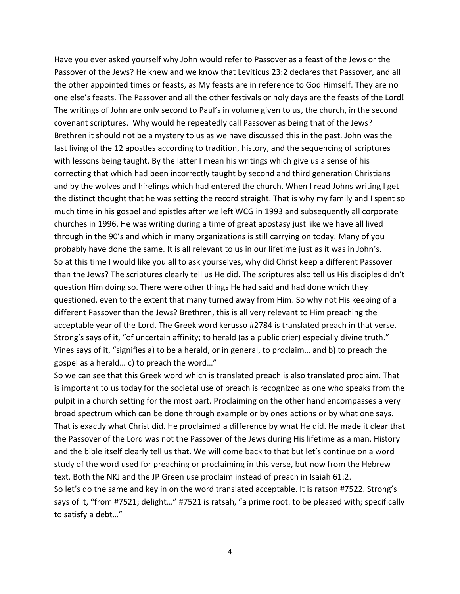Have you ever asked yourself why John would refer to Passover as a feast of the Jews or the Passover of the Jews? He knew and we know that Leviticus 23:2 declares that Passover, and all the other appointed times or feasts, as My feasts are in reference to God Himself. They are no one else's feasts. The Passover and all the other festivals or holy days are the feasts of the Lord! The writings of John are only second to Paul's in volume given to us, the church, in the second covenant scriptures. Why would he repeatedly call Passover as being that of the Jews? Brethren it should not be a mystery to us as we have discussed this in the past. John was the last living of the 12 apostles according to tradition, history, and the sequencing of scriptures with lessons being taught. By the latter I mean his writings which give us a sense of his correcting that which had been incorrectly taught by second and third generation Christians and by the wolves and hirelings which had entered the church. When I read Johns writing I get the distinct thought that he was setting the record straight. That is why my family and I spent so much time in his gospel and epistles after we left WCG in 1993 and subsequently all corporate churches in 1996. He was writing during a time of great apostasy just like we have all lived through in the 90's and which in many organizations is still carrying on today. Many of you probably have done the same. It is all relevant to us in our lifetime just as it was in John's. So at this time I would like you all to ask yourselves, why did Christ keep a different Passover than the Jews? The scriptures clearly tell us He did. The scriptures also tell us His disciples didn't question Him doing so. There were other things He had said and had done which they questioned, even to the extent that many turned away from Him. So why not His keeping of a different Passover than the Jews? Brethren, this is all very relevant to Him preaching the acceptable year of the Lord. The Greek word kerusso #2784 is translated preach in that verse. Strong's says of it, "of uncertain affinity; to herald (as a public crier) especially divine truth." Vines says of it, "signifies a) to be a herald, or in general, to proclaim… and b) to preach the gospel as a herald… c) to preach the word…"

So we can see that this Greek word which is translated preach is also translated proclaim. That is important to us today for the societal use of preach is recognized as one who speaks from the pulpit in a church setting for the most part. Proclaiming on the other hand encompasses a very broad spectrum which can be done through example or by ones actions or by what one says. That is exactly what Christ did. He proclaimed a difference by what He did. He made it clear that the Passover of the Lord was not the Passover of the Jews during His lifetime as a man. History and the bible itself clearly tell us that. We will come back to that but let's continue on a word study of the word used for preaching or proclaiming in this verse, but now from the Hebrew text. Both the NKJ and the JP Green use proclaim instead of preach in Isaiah 61:2. So let's do the same and key in on the word translated acceptable. It is ratson #7522. Strong's says of it, "from #7521; delight…" #7521 is ratsah, "a prime root: to be pleased with; specifically to satisfy a debt…"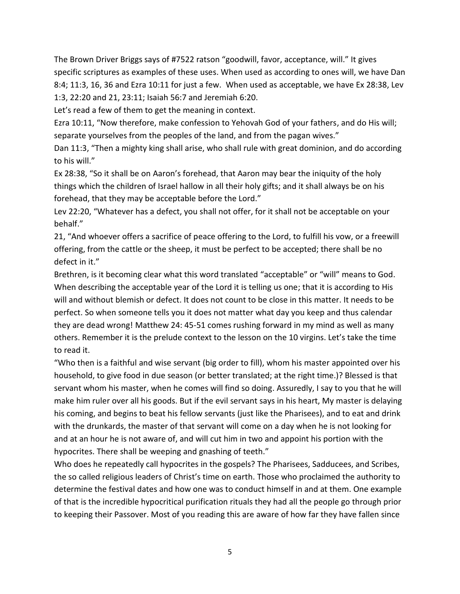The Brown Driver Briggs says of #7522 ratson "goodwill, favor, acceptance, will." It gives specific scriptures as examples of these uses. When used as according to ones will, we have Dan 8:4; 11:3, 16, 36 and Ezra 10:11 for just a few. When used as acceptable, we have Ex 28:38, Lev 1:3, 22:20 and 21, 23:11; Isaiah 56:7 and Jeremiah 6:20.

Let's read a few of them to get the meaning in context.

Ezra 10:11, "Now therefore, make confession to Yehovah God of your fathers, and do His will; separate yourselves from the peoples of the land, and from the pagan wives."

Dan 11:3, "Then a mighty king shall arise, who shall rule with great dominion, and do according to his will."

Ex 28:38, "So it shall be on Aaron's forehead, that Aaron may bear the iniquity of the holy things which the children of Israel hallow in all their holy gifts; and it shall always be on his forehead, that they may be acceptable before the Lord."

Lev 22:20, "Whatever has a defect, you shall not offer, for it shall not be acceptable on your behalf."

21, "And whoever offers a sacrifice of peace offering to the Lord, to fulfill his vow, or a freewill offering, from the cattle or the sheep, it must be perfect to be accepted; there shall be no defect in it."

Brethren, is it becoming clear what this word translated "acceptable" or "will" means to God. When describing the acceptable year of the Lord it is telling us one; that it is according to His will and without blemish or defect. It does not count to be close in this matter. It needs to be perfect. So when someone tells you it does not matter what day you keep and thus calendar they are dead wrong! Matthew 24: 45-51 comes rushing forward in my mind as well as many others. Remember it is the prelude context to the lesson on the 10 virgins. Let's take the time to read it.

"Who then is a faithful and wise servant (big order to fill), whom his master appointed over his household, to give food in due season (or better translated; at the right time.)? Blessed is that servant whom his master, when he comes will find so doing. Assuredly, I say to you that he will make him ruler over all his goods. But if the evil servant says in his heart, My master is delaying his coming, and begins to beat his fellow servants (just like the Pharisees), and to eat and drink with the drunkards, the master of that servant will come on a day when he is not looking for and at an hour he is not aware of, and will cut him in two and appoint his portion with the hypocrites. There shall be weeping and gnashing of teeth."

Who does he repeatedly call hypocrites in the gospels? The Pharisees, Sadducees, and Scribes, the so called religious leaders of Christ's time on earth. Those who proclaimed the authority to determine the festival dates and how one was to conduct himself in and at them. One example of that is the incredible hypocritical purification rituals they had all the people go through prior to keeping their Passover. Most of you reading this are aware of how far they have fallen since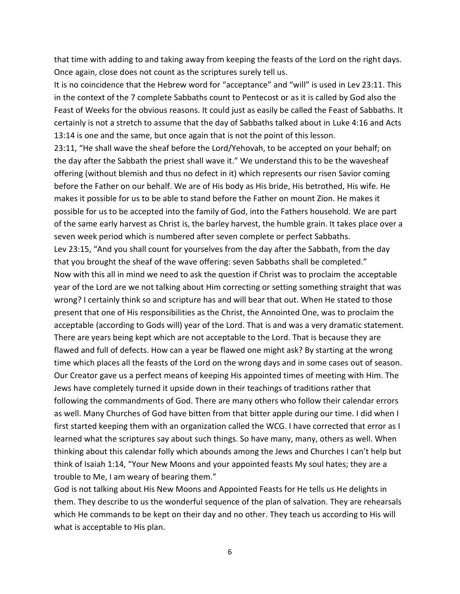that time with adding to and taking away from keeping the feasts of the Lord on the right days. Once again, close does not count as the scriptures surely tell us.

It is no coincidence that the Hebrew word for "acceptance" and "will" is used in Lev 23:11. This in the context of the 7 complete Sabbaths count to Pentecost or as it is called by God also the Feast of Weeks for the obvious reasons. It could just as easily be called the Feast of Sabbaths. It certainly is not a stretch to assume that the day of Sabbaths talked about in Luke 4:16 and Acts 13:14 is one and the same, but once again that is not the point of this lesson.

23:11, "He shall wave the sheaf before the Lord/Yehovah, to be accepted on your behalf; on the day after the Sabbath the priest shall wave it." We understand this to be the wavesheaf offering (without blemish and thus no defect in it) which represents our risen Savior coming before the Father on our behalf. We are of His body as His bride, His betrothed, His wife. He makes it possible for us to be able to stand before the Father on mount Zion. He makes it possible for us to be accepted into the family of God, into the Fathers household. We are part of the same early harvest as Christ is, the barley harvest, the humble grain. It takes place over a seven week period which is numbered after seven complete or perfect Sabbaths.

Lev 23:15, "And you shall count for yourselves from the day after the Sabbath, from the day that you brought the sheaf of the wave offering: seven Sabbaths shall be completed." Now with this all in mind we need to ask the question if Christ was to proclaim the acceptable year of the Lord are we not talking about Him correcting or setting something straight that was wrong? I certainly think so and scripture has and will bear that out. When He stated to those present that one of His responsibilities as the Christ, the Annointed One, was to proclaim the acceptable (according to Gods will) year of the Lord. That is and was a very dramatic statement. There are years being kept which are not acceptable to the Lord. That is because they are flawed and full of defects. How can a year be flawed one might ask? By starting at the wrong time which places all the feasts of the Lord on the wrong days and in some cases out of season. Our Creator gave us a perfect means of keeping His appointed times of meeting with Him. The Jews have completely turned it upside down in their teachings of traditions rather that following the commandments of God. There are many others who follow their calendar errors as well. Many Churches of God have bitten from that bitter apple during our time. I did when I first started keeping them with an organization called the WCG. I have corrected that error as I learned what the scriptures say about such things. So have many, many, others as well. When thinking about this calendar folly which abounds among the Jews and Churches I can't help but think of Isaiah 1:14, "Your New Moons and your appointed feasts My soul hates; they are a trouble to Me, I am weary of bearing them."

God is not talking about His New Moons and Appointed Feasts for He tells us He delights in them. They describe to us the wonderful sequence of the plan of salvation. They are rehearsals which He commands to be kept on their day and no other. They teach us according to His will what is acceptable to His plan.

6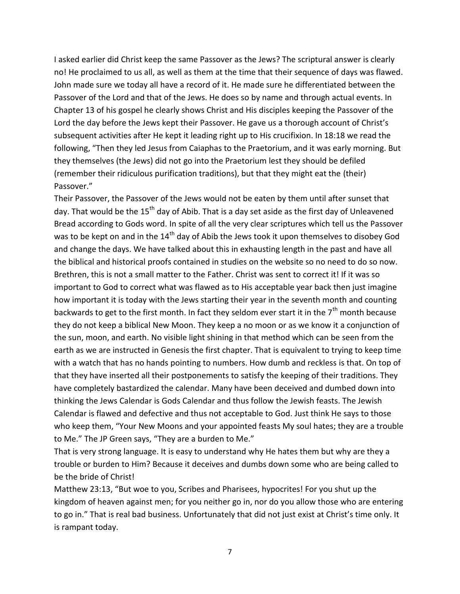I asked earlier did Christ keep the same Passover as the Jews? The scriptural answer is clearly no! He proclaimed to us all, as well as them at the time that their sequence of days was flawed. John made sure we today all have a record of it. He made sure he differentiated between the Passover of the Lord and that of the Jews. He does so by name and through actual events. In Chapter 13 of his gospel he clearly shows Christ and His disciples keeping the Passover of the Lord the day before the Jews kept their Passover. He gave us a thorough account of Christ's subsequent activities after He kept it leading right up to His crucifixion. In 18:18 we read the following, "Then they led Jesus from Caiaphas to the Praetorium, and it was early morning. But they themselves (the Jews) did not go into the Praetorium lest they should be defiled (remember their ridiculous purification traditions), but that they might eat the (their) Passover."

Their Passover, the Passover of the Jews would not be eaten by them until after sunset that day. That would be the  $15<sup>th</sup>$  day of Abib. That is a day set aside as the first day of Unleavened Bread according to Gods word. In spite of all the very clear scriptures which tell us the Passover was to be kept on and in the 14<sup>th</sup> day of Abib the Jews took it upon themselves to disobey God and change the days. We have talked about this in exhausting length in the past and have all the biblical and historical proofs contained in studies on the website so no need to do so now. Brethren, this is not a small matter to the Father. Christ was sent to correct it! If it was so important to God to correct what was flawed as to His acceptable year back then just imagine how important it is today with the Jews starting their year in the seventh month and counting backwards to get to the first month. In fact they seldom ever start it in the  $7<sup>th</sup>$  month because they do not keep a biblical New Moon. They keep a no moon or as we know it a conjunction of the sun, moon, and earth. No visible light shining in that method which can be seen from the earth as we are instructed in Genesis the first chapter. That is equivalent to trying to keep time with a watch that has no hands pointing to numbers. How dumb and reckless is that. On top of that they have inserted all their postponements to satisfy the keeping of their traditions. They have completely bastardized the calendar. Many have been deceived and dumbed down into thinking the Jews Calendar is Gods Calendar and thus follow the Jewish feasts. The Jewish Calendar is flawed and defective and thus not acceptable to God. Just think He says to those who keep them, "Your New Moons and your appointed feasts My soul hates; they are a trouble to Me." The JP Green says, "They are a burden to Me."

That is very strong language. It is easy to understand why He hates them but why are they a trouble or burden to Him? Because it deceives and dumbs down some who are being called to be the bride of Christ!

Matthew 23:13, "But woe to you, Scribes and Pharisees, hypocrites! For you shut up the kingdom of heaven against men; for you neither go in, nor do you allow those who are entering to go in." That is real bad business. Unfortunately that did not just exist at Christ's time only. It is rampant today.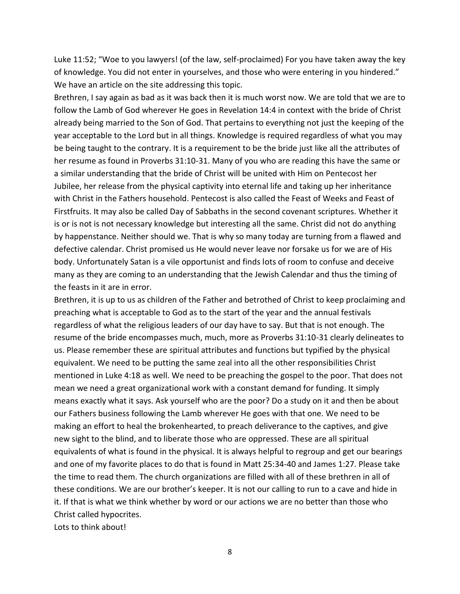Luke 11:52; "Woe to you lawyers! (of the law, self-proclaimed) For you have taken away the key of knowledge. You did not enter in yourselves, and those who were entering in you hindered." We have an article on the site addressing this topic.

Brethren, I say again as bad as it was back then it is much worst now. We are told that we are to follow the Lamb of God wherever He goes in Revelation 14:4 in context with the bride of Christ already being married to the Son of God. That pertains to everything not just the keeping of the year acceptable to the Lord but in all things. Knowledge is required regardless of what you may be being taught to the contrary. It is a requirement to be the bride just like all the attributes of her resume as found in Proverbs 31:10-31. Many of you who are reading this have the same or a similar understanding that the bride of Christ will be united with Him on Pentecost her Jubilee, her release from the physical captivity into eternal life and taking up her inheritance with Christ in the Fathers household. Pentecost is also called the Feast of Weeks and Feast of Firstfruits. It may also be called Day of Sabbaths in the second covenant scriptures. Whether it is or is not is not necessary knowledge but interesting all the same. Christ did not do anything by happenstance. Neither should we. That is why so many today are turning from a flawed and defective calendar. Christ promised us He would never leave nor forsake us for we are of His body. Unfortunately Satan is a vile opportunist and finds lots of room to confuse and deceive many as they are coming to an understanding that the Jewish Calendar and thus the timing of the feasts in it are in error.

Brethren, it is up to us as children of the Father and betrothed of Christ to keep proclaiming and preaching what is acceptable to God as to the start of the year and the annual festivals regardless of what the religious leaders of our day have to say. But that is not enough. The resume of the bride encompasses much, much, more as Proverbs 31:10-31 clearly delineates to us. Please remember these are spiritual attributes and functions but typified by the physical equivalent. We need to be putting the same zeal into all the other responsibilities Christ mentioned in Luke 4:18 as well. We need to be preaching the gospel to the poor. That does not mean we need a great organizational work with a constant demand for funding. It simply means exactly what it says. Ask yourself who are the poor? Do a study on it and then be about our Fathers business following the Lamb wherever He goes with that one. We need to be making an effort to heal the brokenhearted, to preach deliverance to the captives, and give new sight to the blind, and to liberate those who are oppressed. These are all spiritual equivalents of what is found in the physical. It is always helpful to regroup and get our bearings and one of my favorite places to do that is found in Matt 25:34-40 and James 1:27. Please take the time to read them. The church organizations are filled with all of these brethren in all of these conditions. We are our brother's keeper. It is not our calling to run to a cave and hide in it. If that is what we think whether by word or our actions we are no better than those who Christ called hypocrites.

Lots to think about!